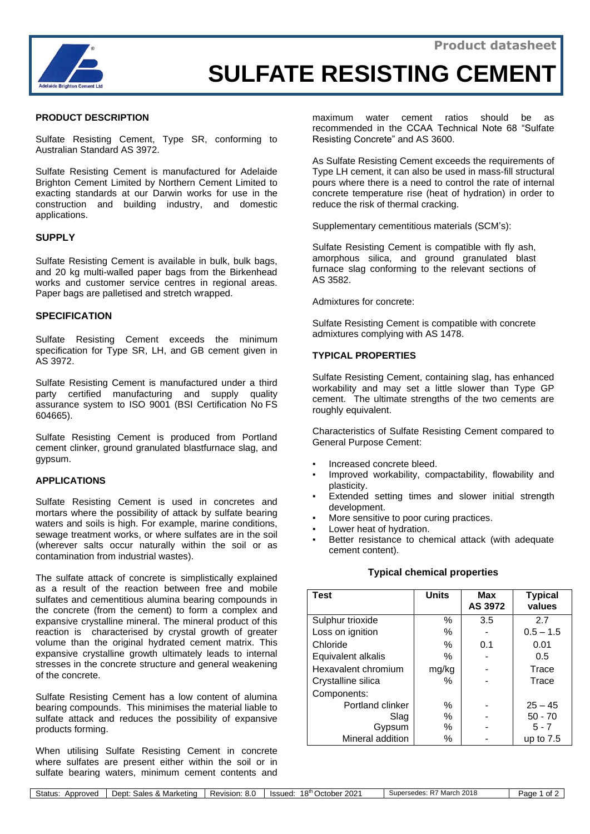

# **SULFATE RESISTING CEMENT**

## **PRODUCT DESCRIPTION**

Sulfate Resisting Cement, Type SR, conforming to Australian Standard AS 3972.

Sulfate Resisting Cement is manufactured for Adelaide Brighton Cement Limited by Northern Cement Limited to exacting standards at our Darwin works for use in the construction and building industry, and domestic applications.

# **SUPPLY**

Sulfate Resisting Cement is available in bulk, bulk bags, and 20 kg multi-walled paper bags from the Birkenhead works and customer service centres in regional areas. Paper bags are palletised and stretch wrapped.

## **SPECIFICATION**

Sulfate Resisting Cement exceeds the minimum specification for Type SR, LH, and GB cement given in AS 3972.

Sulfate Resisting Cement is manufactured under a third party certified manufacturing and supply quality assurance system to ISO 9001 (BSI Certification No FS 604665).

Sulfate Resisting Cement is produced from Portland cement clinker, ground granulated blastfurnace slag, and gypsum.

## **APPLICATIONS**

Sulfate Resisting Cement is used in concretes and mortars where the possibility of attack by sulfate bearing waters and soils is high. For example, marine conditions, sewage treatment works, or where sulfates are in the soil (wherever salts occur naturally within the soil or as contamination from industrial wastes).

The sulfate attack of concrete is simplistically explained as a result of the reaction between free and mobile sulfates and cementitious alumina bearing compounds in the concrete (from the cement) to form a complex and expansive crystalline mineral. The mineral product of this reaction is characterised by crystal growth of greater volume than the original hydrated cement matrix. This expansive crystalline growth ultimately leads to internal stresses in the concrete structure and general weakening of the concrete.

Sulfate Resisting Cement has a low content of alumina bearing compounds. This minimises the material liable to sulfate attack and reduces the possibility of expansive products forming.

When utilising Sulfate Resisting Cement in concrete where sulfates are present either within the soil or in sulfate bearing waters, minimum cement contents and

maximum water cement ratios should be as recommended in the CCAA Technical Note 68 "Sulfate Resisting Concrete" and AS 3600.

As Sulfate Resisting Cement exceeds the requirements of Type LH cement, it can also be used in mass-fill structural pours where there is a need to control the rate of internal concrete temperature rise (heat of hydration) in order to reduce the risk of thermal cracking.

Supplementary cementitious materials (SCM's):

Sulfate Resisting Cement is compatible with fly ash, amorphous silica, and ground granulated blast furnace slag conforming to the relevant sections of AS 3582.

Admixtures for concrete:

Sulfate Resisting Cement is compatible with concrete admixtures complying with AS 1478.

## **TYPICAL PROPERTIES**

Sulfate Resisting Cement, containing slag, has enhanced workability and may set a little slower than Type GP cement. The ultimate strengths of the two cements are roughly equivalent.

Characteristics of Sulfate Resisting Cement compared to General Purpose Cement:

- Increased concrete bleed.
- Improved workability, compactability, flowability and plasticity.
- Extended setting times and slower initial strength development.
- More sensitive to poor curing practices.
- Lower heat of hydration.
- Better resistance to chemical attack (with adequate cement content).

## **Typical chemical properties**

| <b>Test</b>         | <b>Units</b> | <b>Max</b><br>AS 3972 | <b>Typical</b><br>values |
|---------------------|--------------|-----------------------|--------------------------|
| Sulphur trioxide    | $\%$         | 3.5                   | 27                       |
| Loss on ignition    | $\%$         |                       | $0.5 - 1.5$              |
| Chloride            | $\%$         | 0.1                   | 0.01                     |
| Equivalent alkalis  | %            |                       | 0.5                      |
| Hexavalent chromium | mg/kg        |                       | Trace                    |
| Crystalline silica  | ℅            |                       | Trace                    |
| Components:         |              |                       |                          |
| Portland clinker    | %            |                       | $25 - 45$                |
| Slag                | %            |                       | $50 - 70$                |
| Gypsum              | ℅            |                       | $5 - 7$                  |
| Mineral addition    | ℅            |                       | up to $7.5$              |